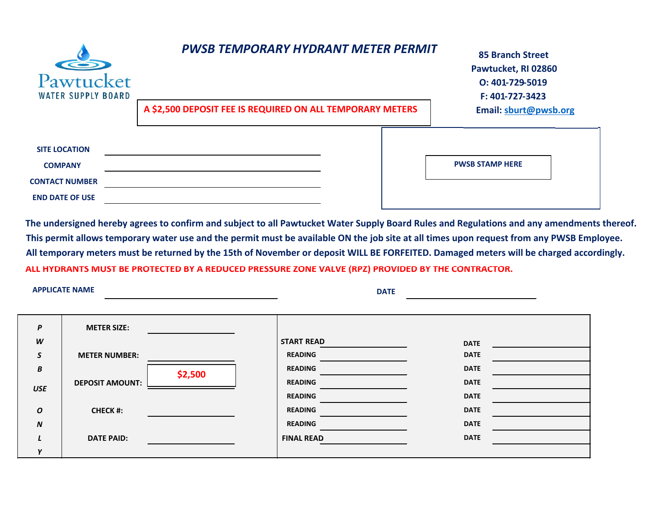| S<br>Pawtucket<br><b>WATER SUPPLY BOARD</b>                                               | <b>PWSB TEMPORARY HYDRANT METER PERMIT</b>                | <b>85 Branch Street</b><br>Pawtucket, RI 02860<br>O: 401-729-5019<br>F: 401-727-3423 |
|-------------------------------------------------------------------------------------------|-----------------------------------------------------------|--------------------------------------------------------------------------------------|
|                                                                                           | A \$2,500 DEPOSIT FEE IS REQUIRED ON ALL TEMPORARY METERS | Email: sburt@pwsb.org                                                                |
| <b>SITE LOCATION</b><br><b>COMPANY</b><br><b>CONTACT NUMBER</b><br><b>END DATE OF USE</b> |                                                           | <b>PWSB STAMP HERE</b>                                                               |

The undersigned hereby agrees to confirm and subject to all Pawtucket Water Supply Board Rules and Regulations and any amendments thereof. This permit allows temporary water use and the permit must be available ON the job site at all times upon request from any PWSB Employee. **ALL HYDRANTS MUST BE PROTECTED BY A REDUCED PRESSURE ZONE VALVE (RPZ) PROVIDED BY THE CONTRACTOR.** All temporary meters must be returned by the 15th of November or deposit WILL BE FORFEITED. Damaged meters will be charged accordingly.

**APPLICATE NAME**

**DATE**

| P                | <b>METER SIZE:</b>     |         |                   |             |  |
|------------------|------------------------|---------|-------------------|-------------|--|
| W                |                        |         | <b>START READ</b> | <b>DATE</b> |  |
| S                | <b>METER NUMBER:</b>   |         | <b>READING</b>    | <b>DATE</b> |  |
| В                |                        | \$2,500 | <b>READING</b>    | <b>DATE</b> |  |
| <b>USE</b>       | <b>DEPOSIT AMOUNT:</b> |         | <b>READING</b>    | <b>DATE</b> |  |
|                  |                        |         | <b>READING</b>    | <b>DATE</b> |  |
| $\boldsymbol{o}$ | <b>CHECK #:</b>        |         | <b>READING</b>    | <b>DATE</b> |  |
| $\boldsymbol{N}$ |                        |         | <b>READING</b>    | <b>DATE</b> |  |
|                  | <b>DATE PAID:</b>      |         | <b>FINAL READ</b> | <b>DATE</b> |  |
| $\mathbf v$      |                        |         |                   |             |  |